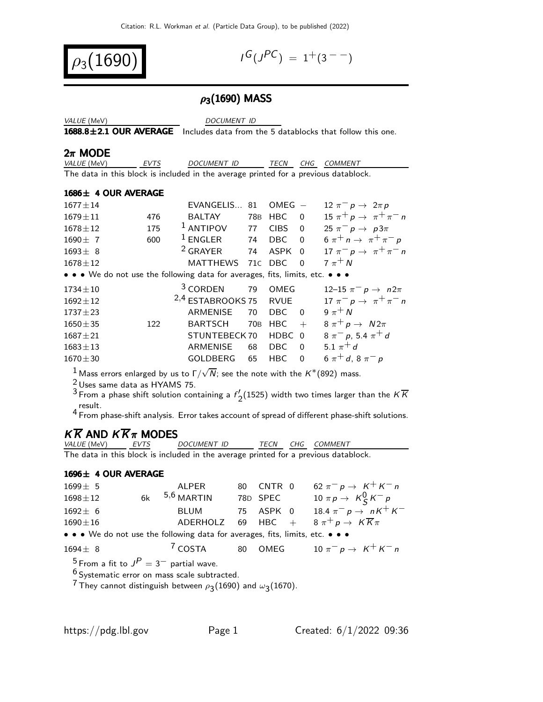$\rho_3(1690)$  |

 $G(J^{PC}) = 1^+(3^{--})$ 

## $ρ_3(1690)$  MASS

| <i>VALUE</i> (MeV) |  |
|--------------------|--|
|                    |  |

DOCUMENT ID

 $1688.8\pm2.1$  OUR AVERAGE Includes data from the 5 datablocks that follow this one.

 $2\pi$  MODE

| <i>VALUE (</i> MeV) | <i>FVTS</i> | <i>DOCUMENT ID</i>                                                                  | <b>TFCN</b> | CHG COMMENT |
|---------------------|-------------|-------------------------------------------------------------------------------------|-------------|-------------|
|                     |             | The data in this block is included in the average printed for a previous datablock. |             |             |

#### 1686± 4 OUR AVERAGE

| $1677 \pm 14$                                                                 |     | EVANGELIS                    | 81              | OMEG        |                | 12 $\pi^ p \rightarrow 2\pi p$         |
|-------------------------------------------------------------------------------|-----|------------------------------|-----------------|-------------|----------------|----------------------------------------|
| $1679 \pm 11$                                                                 | 476 | <b>BALTAY</b>                | 78B             | <b>HBC</b>  | $\Omega$       | $15 \pi^+ p \to \pi^+ \pi^- n$         |
| $1678 \pm 12$                                                                 | 175 | $1$ ANTIPOV                  | 77              | <b>CIBS</b> | $\Omega$       | $25 \pi^{-} p \to p3\pi$               |
| $1690 \pm 7$                                                                  | 600 | $1$ ENGLER                   | 74              | DBC         | $\overline{0}$ | 6 $\pi^+ n \to \pi^+ \pi^- p$          |
| $1693 \pm 8$                                                                  |     | <sup>2</sup> GRAYER          | 74              | ASPK        | $\Omega$       | $17 \pi^- p \rightarrow \pi^+ \pi^- n$ |
| $1678 \pm 12$                                                                 |     | <b>MATTHEWS</b>              |                 | 71C DBC     | $\Omega$       | $7\pi$ <sup>+</sup> N                  |
| • • • We do not use the following data for averages, fits, limits, etc. • • • |     |                              |                 |             |                |                                        |
| $1734 \pm 10$                                                                 |     | <sup>3</sup> CORDEN          | 79              | OMEG        |                | 12–15 $\pi^- p \to n 2\pi$             |
| $1692 \pm 12$                                                                 |     | <sup>2,4</sup> ESTABROOKS 75 |                 | RVUE        |                | $17 \pi^- p \to \pi^+ \pi^- n$         |
| $1737 \pm 23$                                                                 |     | ARMENISE                     | 70              | DBC.        | - 0            | 9 $\pi$ <sup>+</sup> N                 |
| $1650 \pm 35$                                                                 | 122 | <b>BARTSCH</b>               | 70 <sub>B</sub> | <b>HBC</b>  | $+$            | $8 \pi^+ p \rightarrow N2\pi$          |
| $1687 + 21$                                                                   |     | STUNTEBECK 70                |                 | HDBC 0      |                | $8 \pi^{-} p$ , 5.4 $\pi^{+} d$        |
| $1683 \pm 13$                                                                 |     | ARMENISE                     | 68              | <b>DBC</b>  | $\Omega$       | 5.1 $\pi^{+}$ d                        |
| $1670 \pm 30$                                                                 |     | <b>GOLDBERG</b>              | 65              | <b>HBC</b>  | $\Omega$       | $6 \pi^{+} d$ , $8 \pi^{-} p$          |
|                                                                               |     |                              |                 |             |                |                                        |

 $^1$  Mass errors enlarged by us to Г $/\sqrt{N}$ ; see the note with the  $K^*(892)$  mass.

 $\frac{2}{3}$ Uses same data as HYAMS 75.

<sup>3</sup> From a phase shift solution containing a  $f'_{2}(1525)$  width two times larger than the  $K\overline{K}$ 

result. 4 From phase-shift analysis. Error takes account of spread of different phase-shift solutions.

# $K \overline{K}$  AND  $K \overline{K} \pi$  MODES

| <i>VALUE</i> (MeV) | EVTS | DOCUMENT ID                                                                         |  | TECN CHG COMMENT |
|--------------------|------|-------------------------------------------------------------------------------------|--|------------------|
|                    |      | The data in this block is included in the average printed for a previous datablock. |  |                  |

#### 1696± 4 OUR AVERAGE

| $1699 \pm 5$                                                                  | ALPER             | 80 CNTR 0 | 62 $\pi^- p \to K^+ K^- n$                                   |
|-------------------------------------------------------------------------------|-------------------|-----------|--------------------------------------------------------------|
| $1698 \pm 12$                                                                 | $6k$ $5,6$ MARTIN | 78D SPEC  | 10 $\pi p \rightarrow K_S^0 K^- p$                           |
| $1692 \pm 6$                                                                  | BLUM              |           | 75 ASPK 0 18.4 $\pi^- p \to nK^+K^-$                         |
| $1690 \pm 16$                                                                 |                   |           | ADERHOLZ 69 HBC + $8 \pi^+ p \rightarrow K \overline{K} \pi$ |
| • • • We do not use the following data for averages, fits, limits, etc. • • • |                   |           |                                                              |

$$
1694 \pm 8 \qquad \qquad ^7 \text{COSTA} \qquad 80 \quad \text{OMEG} \qquad 10 \pi^- p \rightarrow K^+ K^- n
$$

 $^5$  From a fit to  $J^P=3^-$  partial wave.

 $^6$  Systematic error on mass scale subtracted.

 $^7$ They cannot distinguish between  $\rho_{\bf \bar{3}}(1690)$  and  $\omega_{\bf \bar{3}}(1670)$ .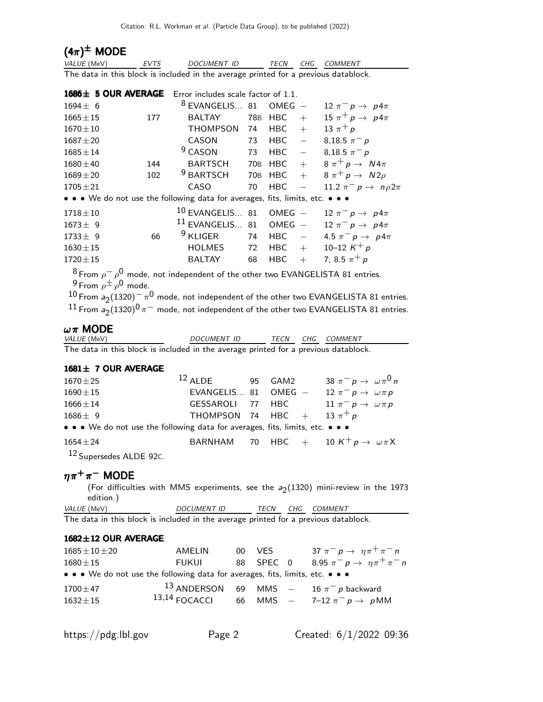## $(4\pi)^{\pm}$  MODE

| <i>VALUE</i> (MeV) | EVTS | <i>DOCUMENT ID</i>                                                                  |  | TECN CHG COMMENT |
|--------------------|------|-------------------------------------------------------------------------------------|--|------------------|
|                    |      | The data in this block is included in the average printed for a previous datablock. |  |                  |

|                |     | 1686± 5 OUR AVERAGE Error includes scale factor of 1.1.                       |     |            |                          |                                   |
|----------------|-----|-------------------------------------------------------------------------------|-----|------------|--------------------------|-----------------------------------|
| $1694 \pm 6$   |     | $8$ EVANGELIS 81                                                              |     | $OMEG -$   |                          | 12 $\pi^ p \rightarrow p$ 4 $\pi$ |
| $1665 \pm 15$  | 177 | <b>BALTAY</b>                                                                 | 78B | <b>HBC</b> | $+$                      | 15 $\pi^+ p \rightarrow p 4\pi$   |
| $1670 \pm 10$  |     | <b>THOMPSON</b>                                                               | 74  | HBC        | $+$                      | 13 $\pi^{+} p$                    |
| $1687 + 20$    |     | CASON                                                                         | 73  | HBC        | $\equiv$                 | 8,18.5 $\pi^- p$                  |
| $1685 \pm 14$  |     | $9$ CASON                                                                     | 73  | <b>HBC</b> | $\overline{\phantom{m}}$ | 8,18.5 $\pi^- p$                  |
| $1680 \pm 40$  | 144 | <b>BARTSCH</b>                                                                |     | 70B HBC    | $+$                      | $8 \pi^+ p \rightarrow N4\pi$     |
| $1689 \pm 20$  | 102 | <sup>9</sup> BARTSCH                                                          |     | 70B HBC    | $+$                      | $8 \pi^+ p \rightarrow N2\rho$    |
| $1705 + 21$    |     | CASO                                                                          | 70  | <b>HBC</b> |                          | 11.2 $\pi^ p \rightarrow np2\pi$  |
|                |     | • • • We do not use the following data for averages, fits, limits, etc. • • • |     |            |                          |                                   |
| $1718 \pm 10$  |     | $10$ EVANGELIS 81 OMEG -                                                      |     |            |                          | $12 \pi^- p \rightarrow p 4\pi$   |
| $1673 \pm 9$   |     | $11$ EVANGELIS 81 OMEG -                                                      |     |            |                          | 12 $\pi^ p \rightarrow p4\pi$     |
| $1733 \pm 9$   | 66  | $9$ KLIGER                                                                    | 74  | <b>HBC</b> | $\frac{1}{2}$            | 4.5 $\pi^- p \to p 4\pi$          |
| $1630 \pm 15$  |     | <b>HOLMES</b>                                                                 | 72  | $HBC +$    |                          | 10-12 $K^+ p$                     |
| $1720 \pm 15$  |     | <b>BALTAY</b>                                                                 | 68  | HBC        | $+$                      | 7, 8.5 $\pi^+ p$                  |
| $R -$<br>$-$ 0 |     | $\blacksquare$                                                                |     |            |                          |                                   |

 $^8$ From  $\rho^-\,\rho^0$  mode, not independent of the other two EVANGELISTA 81 entries.  $^9$  From  $\rho^{\pm} \rho^0$  mode.

 $^{10}$  From  $a_2(1320)^{-} \pi^{0}$  mode, not independent of the other two EVANGELISTA 81 entries.  $^{11}$  From  $\rm a_2$ (1320) $\rm ^0$   $\rm \pi^-$  mode, not independent of the other two EVANGELISTA 81 entries.

#### $ωπ$  MODE

| <i>VALUE</i> (MeV)                                                                  | <i>DOCUMENT ID</i> |  | TECN CHG COMMENT |
|-------------------------------------------------------------------------------------|--------------------|--|------------------|
| The data in this block is included in the average printed for a previous datablock. |                    |  |                  |

#### 1681± 7 OUR AVERAGE

| $1670 \pm 25$                      | $12$ ALDE                                                                     |  | 95 GAM2 |  | 38 $\pi^ p \rightarrow \omega \pi^0 n$ |  |  |  |  |  |
|------------------------------------|-------------------------------------------------------------------------------|--|---------|--|----------------------------------------|--|--|--|--|--|
| $1690 \pm 15$                      | EVANGELIS 81 OMEG $-$ 12 $\pi^- p \rightarrow \omega \pi p$                   |  |         |  |                                        |  |  |  |  |  |
| $1666 \pm 14$                      | GESSAROLI 77 HBC $11 \pi^- p \rightarrow \omega \pi p$                        |  |         |  |                                        |  |  |  |  |  |
| $1686 \pm 9$                       | THOMPSON 74 HBC + 13 $\pi^+ p$                                                |  |         |  |                                        |  |  |  |  |  |
|                                    | • • • We do not use the following data for averages, fits, limits, etc. • • • |  |         |  |                                        |  |  |  |  |  |
| $1654 \pm 24$                      | BARNHAM 70 HBC + 10 $K^+ p \rightarrow \omega \pi X$                          |  |         |  |                                        |  |  |  |  |  |
| <sup>12</sup> Supersedes ALDE 92C. |                                                                               |  |         |  |                                        |  |  |  |  |  |

## $\eta\pi^+\pi^-$  MODE

(For difficulties with MMS experiments, see the  $a_2(1320)$  mini-review in the 1973 edition.)

| <i>VALUE</i> (MeV)                                                                  | <b>DOCUMENT ID</b> |  | TECN CHG COMMENT |
|-------------------------------------------------------------------------------------|--------------------|--|------------------|
| The data in this block is included in the average printed for a previous datablock. |                    |  |                  |

#### 1682±12 OUR AVERAGE

| $1685 \pm 10 \pm 20$ | AMELIN                                                                        | 00 VES | 37 $\pi^- p \to \eta \pi^+ \pi^- n$             |
|----------------------|-------------------------------------------------------------------------------|--------|-------------------------------------------------|
| $1680 \pm 15$        | FUKUI                                                                         |        | 88 SPEC 0 8.95 $\pi^- p \to \eta \pi^+ \pi^- n$ |
|                      | • • • We do not use the following data for averages, fits, limits, etc. • • • |        |                                                 |
| $1700 \pm 47$        |                                                                               |        | 13 ANDERSON 69 MMS $-$ 16 $\pi^-$ p backward    |
| $1632 \pm 15$        | $13,14$ FOCACCI                                                               |        | 66 MMS $-$ 7-12 $\pi^{-} p \to p M M$           |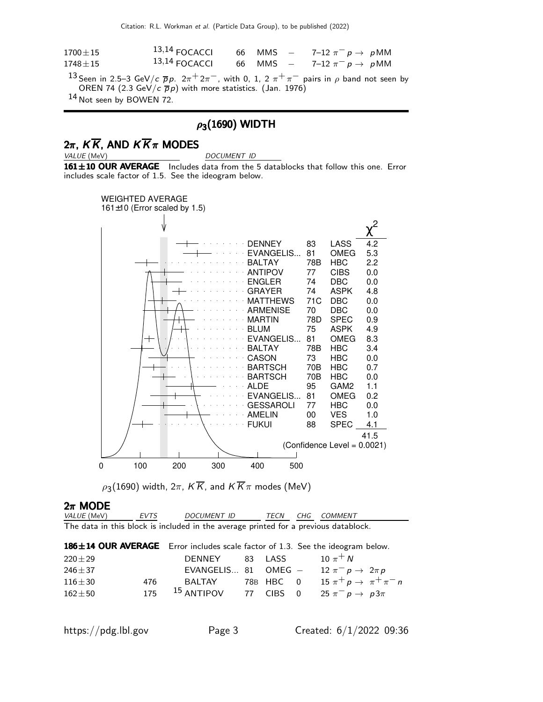Citation: R.L. Workman et al. (Particle Data Group), to be published (2022)

| $1700 \pm 15$ | $13,14$ FOCACCI 66 MMS $-$ 7-12 $\pi^{-}$ p $\rightarrow$ pMM |  |  |  |
|---------------|---------------------------------------------------------------|--|--|--|
| $1748 \pm 15$ | $13,14$ FOCACCI 66 MMS $-$ 7-12 $\pi^{-}$ p $\rightarrow$ pMM |  |  |  |

 $^{13}$ Seen in 2.5–3 GeV/c  $\overline{p}$ p. 2 $\pi^+$ 2 $\pi^-$ , with 0, 1, 2  $\pi^+\pi^-$  pairs in  $\rho$  band not seen by OREN 74 (2.3 GeV/c  $\overline{p}p$ ) with more statistics. (Jan. 1976)

14 Not seen by BOWEN 72.

# $\rho_3(1690)$  WIDTH

# $2\pi$ ,  $K\overline{K}$ , AND  $K\overline{K}\pi$  MODES

DOCUMENT ID

161±10 OUR AVERAGE Includes data from the 5 datablocks that follow this one. Error includes scale factor of 1.5. See the ideogram below.



 $\rho_{\mathbf{3}}(1690)$  width, 2 $\pi$ ,  $K\overline{K}$ , and  $K\overline{K}\pi$  modes (MeV)

| $2\pi$ MODE                                                                         |      |             |      |  |             |  |
|-------------------------------------------------------------------------------------|------|-------------|------|--|-------------|--|
| <i>VALUE</i> (MeV)                                                                  | EVTS | DOCUMENT ID | TFCN |  | CHG COMMENT |  |
| The data in this block is included in the average printed for a previous datablock. |      |             |      |  |             |  |

| 186±14 OUR AVERAGE Error includes scale factor of 1.3. See the ideogram below. |                       |         |                                          |  |
|--------------------------------------------------------------------------------|-----------------------|---------|------------------------------------------|--|
| $220 \pm 29$                                                                   | DENNEY                | 83 LASS | 10 $\pi$ <sup>+</sup> N                  |  |
| $246 + 37$                                                                     | EVANGELIS 81 OMEG $-$ |         | $12 \pi^- p \rightarrow 2 \pi p$         |  |
| $116\pm30$<br>476                                                              | BALTAY                |         | 78B HBC 0 15 $\pi^+ p \to \pi^+ \pi^- n$ |  |
| 175<br>$162 + 50$                                                              | $15$ ANTIPOV          |         | 77 CIBS 0 25 $\pi^- p \to p3\pi$         |  |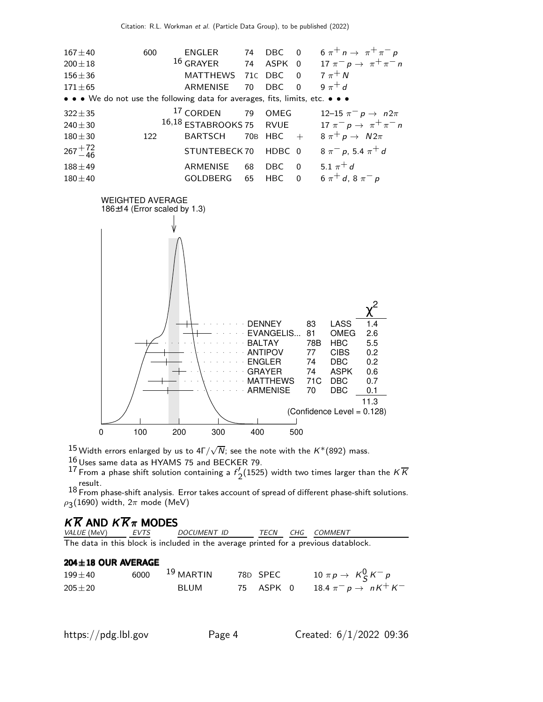

 $^{15}$ Width errors enlarged by us to 4Г $/\sqrt{N}$ ; see the note with the  $\mathsf{K}^{*}(892)$  mass.

 $16$  Uses same data as HYAMS 75 and BECKER 79.

<sup>17</sup> From a phase shift solution containing a  $f'_{2}(1525)$  width two times larger than the  $K\overline{K}$ result.

 $18$  From phase-shift analysis. Error takes account of spread of different phase-shift solutions.  $\rho_{\mathbf{3}}(1690)$  width, 2 $\pi$  mode (MeV)

## $K \overline{K}$  AND  $K \overline{K} \pi$  MODES

| <i>VALUE</i> (MeV) | <i>EVTS</i> | DOCUMENT ID                                                                         | TECN | CHG COMMENT |
|--------------------|-------------|-------------------------------------------------------------------------------------|------|-------------|
|                    |             | The data in this block is included in the average printed for a previous datablock. |      |             |

#### 204±18 OUR AVERAGE

| $199\pm40$ | 6000 | $^{19}$ MARTIN | 78D SPEC  | 10 $\pi p \rightarrow K_S^0 K^- p$ |
|------------|------|----------------|-----------|------------------------------------|
| $205\pm20$ |      | BLUM           | 75 ASPK 0 | 18.4 $\pi^- p \to nK^+K^-$         |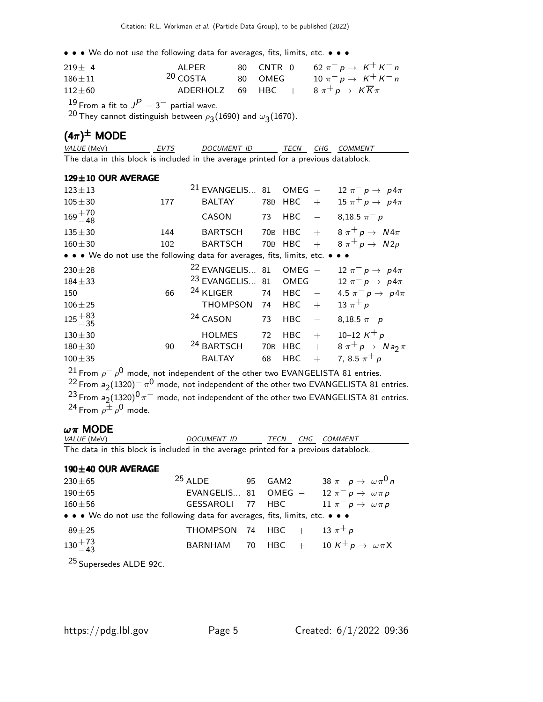• • • We do not use the following data for averages, fits, limits, etc. • • •

| $219 \pm 4$  | AI PFR                       |  | 80 CNTR 0 62 $\pi^- p \to K^+ K^- n$                         |
|--------------|------------------------------|--|--------------------------------------------------------------|
| $186 \pm 11$ | $20 \overline{\text{COSTA}}$ |  | 80 OMEG $10 \pi^- p \to K^+ K^- n$                           |
| $112\pm 60$  |                              |  | ADERHOLZ 69 HBC + $8 \pi^+ p \rightarrow K \overline{K} \pi$ |

 $^{19}$  From a fit to  $J^P=3^-$  partial wave.

 $^{20}$  They cannot distinguish between  $\rho_{\bf 3}(1690)$  and  $\omega_{\bf 3}(1670)$ .

## $(4\pi)^{\pm}$  MODE

| <i>VALUE</i> (MeV)                                                                  | <b>FVTS</b> | DOCUMENT ID |  | TECN CHG COMMENT |
|-------------------------------------------------------------------------------------|-------------|-------------|--|------------------|
| The data in this block is included in the average printed for a previous datablock. |             |             |  |                  |

#### 129±10 OUR AVERAGE

| $123 \pm 13$                                                                  |     | $21$ EVANGELIS 81          |            | $OMEG -$   |                             | 12 $\pi^ p \rightarrow p4\pi$     |
|-------------------------------------------------------------------------------|-----|----------------------------|------------|------------|-----------------------------|-----------------------------------|
| $105 + 30$                                                                    | 177 | <b>BALTAY</b>              |            | 78B HBC    | $+$                         | 15 $\pi^+ p \rightarrow p 4\pi$   |
| $169 + 70$<br>$-48$                                                           |     | <b>CASON</b>               | 73         | <b>HBC</b> | $\overline{\phantom{m}}$    | 8,18.5 $\pi^- p$                  |
| $135 + 30$                                                                    | 144 | <b>BARTSCH</b>             |            | 70B HBC    |                             | $+$ 8 $\pi^+ p \rightarrow N4\pi$ |
| $160 + 30$                                                                    | 102 | <b>BARTSCH</b>             |            | 70B HBC    | $+$                         | $8 \pi^+ p \rightarrow N2\rho$    |
| • • • We do not use the following data for averages, fits, limits, etc. • • • |     |                            |            |            |                             |                                   |
| $230 \pm 28$                                                                  |     | <sup>22</sup> EVANGELIS 81 |            | $OMEG -$   |                             | 12 $\pi^ p \rightarrow p4\pi$     |
| $184 + 33$                                                                    |     | $23$ EVANGELIS 81 OMEG $-$ |            |            |                             | 12 $\pi^ p \rightarrow p$ 4 $\pi$ |
| 150                                                                           | 66  | <sup>24</sup> KLIGER       | 74         | <b>HBC</b> | $\mathcal{L} = \{1,2,3,4\}$ | 4.5 $\pi^ p \to p4\pi$            |
| $106 + 25$                                                                    |     | <b>THOMPSON</b>            | 74         | <b>HBC</b> | $+$                         | 13 $\pi^{+} p$                    |
| $125 + 83$                                                                    |     | <sup>24</sup> CASON        | 73         | <b>HBC</b> |                             | 8,18.5 $\pi^- p$                  |
| $130 + 30$                                                                    |     | <b>HOLMES</b>              | 72         | <b>HBC</b> | $+$                         | 10–12 $K^+ p$                     |
| $180 + 30$                                                                    | 90  | <sup>24</sup> BARTSCH      | <b>70B</b> | <b>HBC</b> | $+$                         | $8 \pi^+ p \rightarrow N a_2 \pi$ |
| $100 + 35$                                                                    |     | <b>BALTAY</b>              | 68         | <b>HBC</b> | $+$                         | 7, 8.5 $\pi^+ p$                  |
|                                                                               |     |                            |            |            |                             |                                   |

 $^{21}$  From  $\rho^-\,\rho^0$  mode, not independent of the other two <code>EVANGELISTA</code> 81 entries.  $^{22}$  From  $a_2(1320)^{-}$   $\pi^{0}$  mode, not independent of the other two EVANGELISTA 81 entries.  $^{23}$  From  $a_2(1320)^{0}\,\pi^-$  mode, not independent of the other two EVANGELISTA 81 entries.  $^{24}$  From  $\rho^{\pm} \rho^{\rm 0}$  mode.

#### $ωπ$  MODE

| VALUE (MeV)                                                                         | DOCUMENT ID | TECN | CHG COMMENT |
|-------------------------------------------------------------------------------------|-------------|------|-------------|
| The data in this block is included in the average printed for a previous datablock. |             |      |             |

#### 190±40 OUR AVERAGE

| $230\pm 65$ | $25$ ALDE                                                                     | 95 GAM2 | 38 $\pi^- p \rightarrow \omega \pi^0 n$                           |
|-------------|-------------------------------------------------------------------------------|---------|-------------------------------------------------------------------|
| $190\pm 65$ |                                                                               |         | EVANGELIS 81 OMEG - 12 $\pi^- p \rightarrow \omega \pi p$         |
| $160\pm56$  |                                                                               |         | GESSAROLI 77 HBC $11 \pi^- p \rightarrow \omega \pi p$            |
|             | • • • We do not use the following data for averages, fits, limits, etc. • • • |         |                                                                   |
| $89\pm25$   | THOMPSON 74 HBC $+$ 13 $\pi^{+}p$                                             |         |                                                                   |
| $130 + 73$  |                                                                               |         | BARNHAM 70 HBC $+$ 10 K <sup>+</sup> $p \rightarrow \omega \pi X$ |
|             |                                                                               |         |                                                                   |

25 Supersedes ALDE 92C.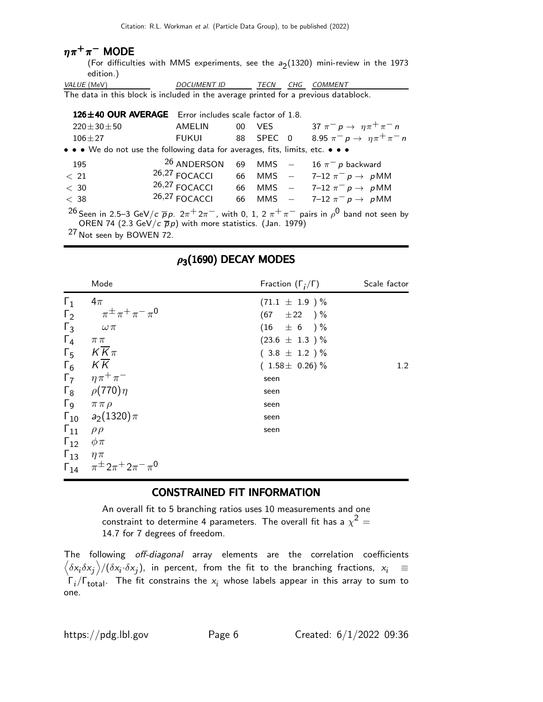## $\eta\pi^+\pi^-$  MODE

(For difficulties with MMS experiments, see the  $a_2(1320)$  mini-review in the 1973 edition.)

| <i>VALUE</i> (MeV) | <i>DOCUMENT ID</i>                                                                  |  | TECN CHG COMMENT |
|--------------------|-------------------------------------------------------------------------------------|--|------------------|
|                    | The data in this block is included in the average printed for a previous datablock. |  |                  |

|                                     | 126±40 OUR AVERAGE Error includes scale factor of 1.8.                        |    |      |                                                                                                                                |
|-------------------------------------|-------------------------------------------------------------------------------|----|------|--------------------------------------------------------------------------------------------------------------------------------|
| $220 \pm 30 \pm 50$                 | AMELIN                                                                        | 00 | VES. | 37 $\pi^- p \to \eta \pi^+ \pi^- n$                                                                                            |
| $106 + 27$                          | FUKUI                                                                         |    |      | 88 SPEC 0 8.95 $\pi^- p \to \eta \pi^+ \pi^- n$                                                                                |
|                                     | • • • We do not use the following data for averages, fits, limits, etc. • • • |    |      |                                                                                                                                |
| 195                                 | <sup>26</sup> ANDERSON                                                        | 69 |      | MMS $-$ 16 $\pi^-$ p backward                                                                                                  |
| < 21                                | $26,27$ FOCACCI                                                               |    |      | 66 MMS $-$ 7-12 $\pi^{-} p \to p M M$                                                                                          |
| < 30                                |                                                                               |    |      | 26,27 FOCACCI 66 MMS - 7-12 $\pi^- p \to p$ MM                                                                                 |
| < 38                                |                                                                               |    |      | 26,27 FOCACCI 66 MMS - 7-12 $\pi^- p \to p$ MM                                                                                 |
|                                     |                                                                               |    |      | <sup>26</sup> Seen in 2.5–3 GeV/c $\bar{p}p$ . $2\pi^+ 2\pi^-$ , with 0, 1, 2 $\pi^+ \pi^-$ pairs in $\rho^0$ band not seen by |
|                                     | OREN 74 (2.3 GeV/c $\overline{p}p$ ) with more statistics. (Jan. 1979)        |    |      |                                                                                                                                |
| <sup>27</sup> Not seen by BOWEN 72. |                                                                               |    |      |                                                                                                                                |

# $\rho_{\bf 3}$ (1690) DECAY MODES

|                                                                                     | Mode                                                                                                                                                                                                            | Fraction $(\Gamma_i/\Gamma)$                                                                          | Scale factor     |
|-------------------------------------------------------------------------------------|-----------------------------------------------------------------------------------------------------------------------------------------------------------------------------------------------------------------|-------------------------------------------------------------------------------------------------------|------------------|
| $\Gamma_1$<br>$\Gamma_2$<br>$\Gamma_3$<br>$\Gamma_4$<br>$\Gamma_{5}$                | $4\pi$<br>$\pi^{\pm} \pi^+ \pi^- \pi^0$<br>$\omega \, \pi$<br>$\pi\pi$<br>$K\overline{K}\pi$                                                                                                                    | $(71.1 \pm 1.9)$ %<br>$(67 \pm 22)$ %<br>$(16 \pm 6) \%$<br>$(23.6 \pm 1.3) \%$<br>$(3.8 \pm 1.2) \%$ |                  |
| $\Gamma_6$<br>$\Gamma_{11}$<br>$\Gamma_{12}$ $\phi \pi$<br>$\Gamma_{13}$ $\eta \pi$ | $K\overline{K}$<br>$\Gamma_7 \eta \pi^+ \pi^-$<br>$\Gamma_8$ $\rho(770)\eta$<br>$\Gamma_9$ $\pi \pi \rho$<br>$\Gamma_{10}$ $a_2(1320)\pi$<br>$\rho \rho$<br>$\Gamma_{14}$ $\pi^{\pm} 2\pi^{+} 2\pi^{-} \pi^{0}$ | $(1.58 \pm 0.26)\%$<br>seen<br>seen<br>seen<br>seen<br>seen                                           | 1.2 <sub>1</sub> |

#### CONSTRAINED FIT INFORMATION

An overall fit to 5 branching ratios uses 10 measurements and one constraint to determine 4 parameters. The overall fit has a  $\chi^2 =$ 14.7 for 7 degrees of freedom.

The following off-diagonal array elements are the correlation coefficients  $\left<\delta x_i\delta x_j\right>$ / $(\delta x_i\cdot\delta x_j)$ , in percent, from the fit to the branching fractions,  $x_i$   $\;\equiv$  $\mathsf{\Gamma}_i/\mathsf{\Gamma}_{\mathsf{total}}$ . The fit constrains the  $\mathsf{x}_i$  whose labels appear in this array to sum to one.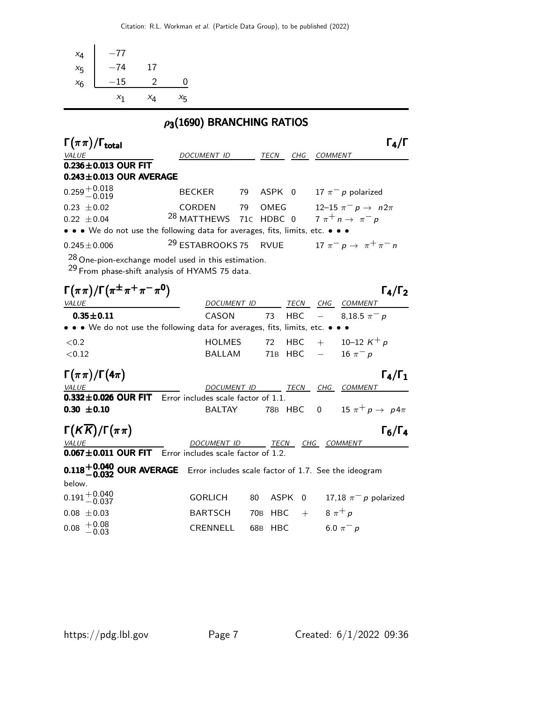| $-77$<br>$x_4$                                                                                                     |                                   |    |      |             |               |                                             |
|--------------------------------------------------------------------------------------------------------------------|-----------------------------------|----|------|-------------|---------------|---------------------------------------------|
| $-74$<br>17<br>$x_{5}$                                                                                             |                                   |    |      |             |               |                                             |
| $-15$<br>$\overline{2}$                                                                                            | $\overline{0}$                    |    |      |             |               |                                             |
| $x_6$                                                                                                              |                                   |    |      |             |               |                                             |
| $x_4$<br>$x_1$                                                                                                     | $x_{5}$                           |    |      |             |               |                                             |
| $\rho_3(1690)$ BRANCHING RATIOS                                                                                    |                                   |    |      |             |               |                                             |
| $\Gamma(\pi\pi)/\Gamma_{\rm total}$                                                                                |                                   |    |      |             |               | $\Gamma_4/\Gamma$                           |
| VALUE                                                                                                              | DOCUMENT ID TECN CHG COMMENT      |    |      |             |               |                                             |
| $0.236 \pm 0.013$ OUR FIT<br>$0.243 \pm 0.013$ OUR AVERAGE                                                         |                                   |    |      |             |               |                                             |
| $0.259\substack{+0.018\-0.019}$                                                                                    | <b>BECKER</b>                     |    |      |             |               | 79 ASPK 0 17 $\pi^-$ p polarized            |
| $0.23 \pm 0.02$                                                                                                    | <b>CORDEN</b>                     | 79 | OMEG |             |               | 12–15 $\pi^- p \to n 2\pi$                  |
| $0.22 \pm 0.04$                                                                                                    | <sup>28</sup> MATTHEWS 71C HDBC 0 |    |      |             |               | $7 \pi^+ n \rightarrow \pi^- p$             |
| • • • We do not use the following data for averages, fits, limits, etc. • • •                                      |                                   |    |      |             |               |                                             |
| $0.245 \pm 0.006$                                                                                                  | <sup>29</sup> ESTABROOKS 75       |    |      |             |               | RVUE $17 \pi^- p \rightarrow \pi^+ \pi^- n$ |
| $28$ One-pion-exchange model used in this estimation.<br><sup>29</sup> From phase-shift analysis of HYAMS 75 data. |                                   |    |      |             |               |                                             |
| $\Gamma(\pi\pi)/\Gamma(\pi^{\pm}\pi^+\pi^-\pi^0)$                                                                  |                                   |    |      |             |               | $\Gamma_4/\Gamma_2$                         |
| <b>VALUE</b>                                                                                                       | DOCUMENT ID                       |    |      | <b>TECN</b> |               | CHG COMMENT                                 |
| $0.35 \pm 0.11$                                                                                                    | CASON                             |    | 73   | <b>HBC</b>  |               | 8,18.5 $\pi^- p$                            |
| • • • We do not use the following data for averages, fits, limits, etc. • • •                                      |                                   |    |      |             |               |                                             |
| ${<}0.2$                                                                                                           | <b>HOLMES</b>                     |    | 72   | <b>HBC</b>  |               | $+$ 10-12 K <sup>+</sup> p                  |
| < 0.12                                                                                                             | BALLAM                            |    |      | 71B HBC     | $\frac{1}{2}$ | 16 $\pi^- p$                                |
| $\Gamma(\pi\pi)/\Gamma(4\pi)$                                                                                      |                                   |    |      |             |               | $\Gamma_4/\Gamma_1$                         |
| <b>VALUE</b>                                                                                                       | DOCUMENT ID                       |    |      |             |               | <u>TECN CHG COMMENT</u>                     |
| $0.332 \pm 0.026$ OUR FIT Error includes scale factor of 1.1.                                                      |                                   |    |      |             |               |                                             |
| $0.30 \pm 0.10$                                                                                                    | <b>BALTAY</b>                     |    |      | 78B HBC     |               | 0 15 $\pi^+ p \to p 4\pi$                   |
| $\Gamma(K\overline{K})/\Gamma(\pi\pi)$                                                                             |                                   |    |      |             |               | $\Gamma_6/\Gamma_4$                         |
| VALUE<br>$\frac{A EUL}{A E E L}$                                                                                   | DOCUMENT ID TECN CHG COMMENT      |    |      |             |               |                                             |

 $0.067 \pm 0.011$  OUR FIT Error includes scale factor of 1.2.

| <b>0.118 -0.040 OUR AVERAGE</b> Error includes scale factor of 1.7. See the ideogram<br>below. |                               |  |                                             |
|------------------------------------------------------------------------------------------------|-------------------------------|--|---------------------------------------------|
| $0.191 + 0.040$<br>-0.037                                                                      |                               |  | GORLICH 80 ASPK 0 17,18 $\pi^-$ p polarized |
| $0.08 \pm 0.03$                                                                                | BARTSCH 70B HBC + $8\pi^{+}p$ |  |                                             |
| $0.08 + 0.08$<br>$-0.03$                                                                       | CRENNELL 68B HBC              |  | 6.0 $\pi^-$ p                               |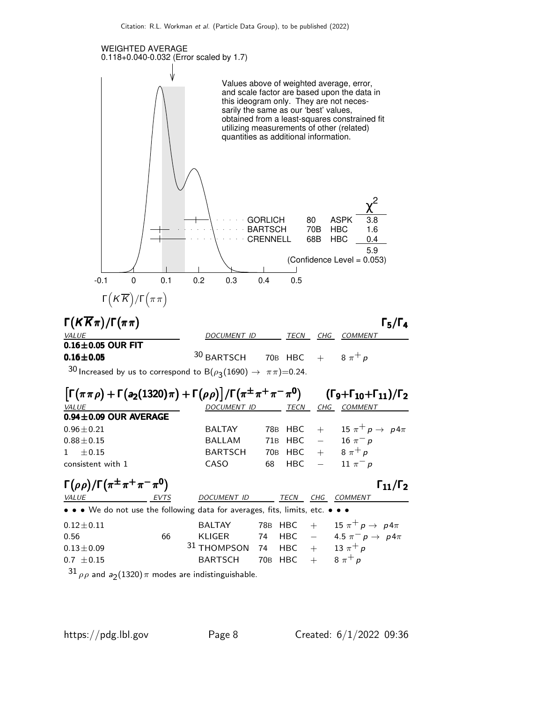

 $^{31}$   $\rho\rho$  and  $a_2$ (1320) $\pi$  modes are indistinguishable.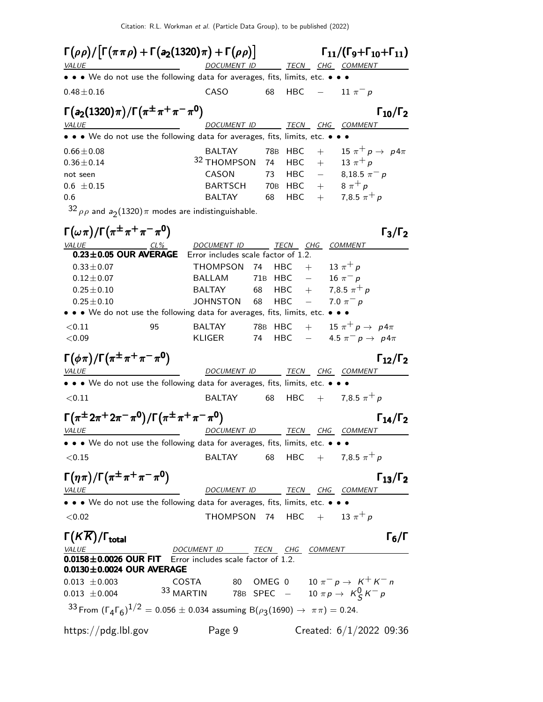| $\Gamma(\rho\rho)/ \Gamma(\pi\pi\rho)+\Gamma(a_2(1320)\pi)+\Gamma(\rho\rho) $     |                                                                                                                                                                                                                                    | $\Gamma_{11}/(\Gamma_{9}+\Gamma_{10}+\Gamma_{11})$           |
|-----------------------------------------------------------------------------------|------------------------------------------------------------------------------------------------------------------------------------------------------------------------------------------------------------------------------------|--------------------------------------------------------------|
| VALUE                                                                             | DOCUMENT ID                                                                                                                                                                                                                        | TECN CHG COMMENT                                             |
|                                                                                   | • • • We do not use the following data for averages, fits, limits, etc. • • •                                                                                                                                                      |                                                              |
| $0.48 \pm 0.16$                                                                   | <b>CASO</b><br>68                                                                                                                                                                                                                  | HBC<br>$- 11 \pi^- p$                                        |
| $\Gamma(a_2(1320)\pi)/\Gamma(\pi^{\pm}\pi^+\pi^-\pi^0)$                           |                                                                                                                                                                                                                                    | $\Gamma_{10}/\Gamma_2$                                       |
| VALUE                                                                             | DOCUMENT ID                                                                                                                                                                                                                        | <u>TECN CHG COMMENT</u>                                      |
|                                                                                   | • • • We do not use the following data for averages, fits, limits, etc. • •                                                                                                                                                        |                                                              |
| $0.66 \pm 0.08$                                                                   | <b>BALTAY</b><br>78B                                                                                                                                                                                                               | 15 $\pi^+ p \rightarrow p 4\pi$<br><b>HBC</b><br>$+$         |
| $0.36 \pm 0.14$                                                                   | <sup>32</sup> THOMPSON<br>74                                                                                                                                                                                                       | 13 $\pi^{+} p$<br>$+$<br>HBC                                 |
| not seen                                                                          | CASON<br>73                                                                                                                                                                                                                        | HBC<br>8,18.5 $\pi^- p$<br>$\hspace{0.1mm}$ $\hspace{0.1mm}$ |
| $0.6 \pm 0.15$                                                                    | <b>BARTSCH</b>                                                                                                                                                                                                                     | 70B HBC +<br>$8 \pi^+ p$                                     |
| 0.6                                                                               | <b>BALTAY</b><br>68                                                                                                                                                                                                                | 7,8.5 $\pi^{+} p$<br>HBC<br>$+$                              |
| $32 \rho \rho$ and $a_2(1320) \pi$ modes are indistinguishable.                   |                                                                                                                                                                                                                                    |                                                              |
| $\Gamma(\omega\pi)/\Gamma(\pi^{\pm}\pi^+\pi^-\pi^0)$                              |                                                                                                                                                                                                                                    | $\Gamma_3/\Gamma_2$                                          |
| <b>VALUE</b>                                                                      | DOCUMENT ID TECN                                                                                                                                                                                                                   | CHG COMMENT                                                  |
| $0.23 \pm 0.05$ OUR AVERAGE                                                       | Error includes scale factor of 1.2.                                                                                                                                                                                                |                                                              |
| $0.33 \pm 0.07$                                                                   | THOMPSON 74                                                                                                                                                                                                                        | 13 $\pi^{+} p$<br>HBC<br>$+$                                 |
| $0.12 \pm 0.07$                                                                   | <b>BALLAM</b><br>71B HBC                                                                                                                                                                                                           | $\equiv$<br>16 $\pi^- p$                                     |
| $0.25 \pm 0.10$                                                                   | <b>BALTAY</b><br>68                                                                                                                                                                                                                | 7,8.5 $\pi^{+} p$<br>HBC<br>$+$                              |
| $0.25 \pm 0.10$                                                                   | JOHNSTON<br>68<br>• • • We do not use the following data for averages, fits, limits, etc. • • •                                                                                                                                    | HBC<br>$\frac{1}{2}$ and $\frac{1}{2}$<br>7.0 $\pi^- p$      |
|                                                                                   |                                                                                                                                                                                                                                    | 15 $\pi^+ p \rightarrow p 4\pi$                              |
| < 0.11<br>95<br>< 0.09                                                            | 78B HBC<br>BALTAY<br>KLIGER<br>74                                                                                                                                                                                                  | $+$<br>$-$ 4.5 $\pi^{-}$ p $\to$ p4 $\pi$<br>HBC             |
| $\Gamma(\phi\pi)/\Gamma(\pi^{\pm}\pi^+\pi^-\pi^0)$<br><u>VALUE</u>                |                                                                                                                                                                                                                                    | $\Gamma_{12}/\Gamma_2$<br>DOCUMENT ID TECN CHG COMMENT       |
|                                                                                   | • • • We do not use the following data for averages, fits, limits, etc. • • •                                                                                                                                                      |                                                              |
| < 0.11                                                                            | BALTAY<br>68                                                                                                                                                                                                                       | HBC + 7,8.5 $\pi^{+} p$                                      |
| $\Gamma(\pi^{\pm}2\pi^{+}2\pi^{-}\pi^{0})/\Gamma(\pi^{\pm}\pi^{+}\pi^{-}\pi^{0})$ |                                                                                                                                                                                                                                    | $\Gamma_{14}/\Gamma_2$                                       |
| <i>VALUE</i>                                                                      |                                                                                                                                                                                                                                    | DOCUMENT ID TECN CHG COMMENT                                 |
|                                                                                   | • • • We do not use the following data for averages, fits, limits, etc. • •                                                                                                                                                        |                                                              |
| < 0.15                                                                            | BALTAY                                                                                                                                                                                                                             | 68 HBC + 7,8.5 $\pi^{+} p$                                   |
| $\Gamma(\eta\pi)/\Gamma(\pi^{\pm}\pi^+\pi^-\pi^0)$<br>VALUE                       |                                                                                                                                                                                                                                    | $\Gamma_{13}/\Gamma_2$<br>DOCUMENT ID TECN CHG COMMENT       |
|                                                                                   | <u>DOCUMENT ID TECN CHG</u> CONDENT OF TECN CHG CONDENT OF TECN CHG CONDENT OF TECN CHO CONDENT OF TECN CHORD OF THE ORDER CHORD OF THE ORDER OF THE ORDER OF THE ORDER OF THE ORDER OF THE ORDER OF THE ORDER OF THE ORDER OF THE |                                                              |
| < 0.02                                                                            |                                                                                                                                                                                                                                    | THOMPSON 74 HBC $+$ 13 $\pi^{+}p$                            |
| $\Gamma(K\overline{K})/\Gamma_{\rm total}$                                        |                                                                                                                                                                                                                                    | $\Gamma_6/\Gamma$                                            |
|                                                                                   | $\underbrace{NALUE}$ DOCUMENT ID TECN CHG COMMENT DUISE <b>0.0158±0.0026 OUR FIT</b> Error includes scale factor of 1.2.                                                                                                           |                                                              |
| $0.0130 \pm 0.0024$ OUR AVERAGE                                                   |                                                                                                                                                                                                                                    |                                                              |
| $0.013 \pm 0.003$                                                                 |                                                                                                                                                                                                                                    | COSTA 80 OMEG 0 $10 \pi^- p \rightarrow K^+ K^- n$           |
| $0.013 \pm 0.004$                                                                 | 33 MARTIN 78B SPEC - 10 $\pi p \rightarrow K_S^0 K^- p$                                                                                                                                                                            |                                                              |
|                                                                                   | 33 From $(\Gamma_4 \Gamma_6)^{1/2} = 0.056 \pm 0.034$ assuming B $(\rho_3(1690) \rightarrow \pi \pi) = 0.24$ .                                                                                                                     |                                                              |
| https://pdg.lbl.gov                                                               | Page 9                                                                                                                                                                                                                             | Created: $6/1/2022$ 09:36                                    |